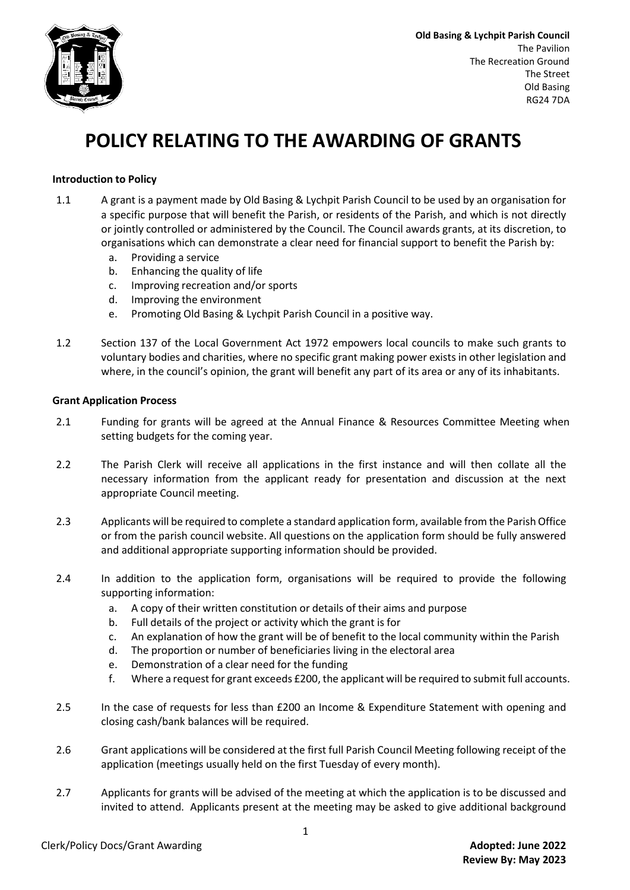

**Old Basing & Lychpit Parish Council** The Pavilion The Recreation Ground The Street Old Basing RG24 7DA

## **POLICY RELATING TO THE AWARDING OF GRANTS**

## **Introduction to Policy**

- 1.1 A grant is a payment made by Old Basing & Lychpit Parish Council to be used by an organisation for a specific purpose that will benefit the Parish, or residents of the Parish, and which is not directly or jointly controlled or administered by the Council. The Council awards grants, at its discretion, to organisations which can demonstrate a clear need for financial support to benefit the Parish by:
	- a. Providing a service
	- b. Enhancing the quality of life
	- c. Improving recreation and/or sports
	- d. Improving the environment
	- e. Promoting Old Basing & Lychpit Parish Council in a positive way.
- 1.2 Section 137 of the Local Government Act 1972 empowers local councils to make such grants to voluntary bodies and charities, where no specific grant making power exists in other legislation and where, in the council's opinion, the grant will benefit any part of its area or any of its inhabitants.

## **Grant Application Process**

- 2.1 Funding for grants will be agreed at the Annual Finance & Resources Committee Meeting when setting budgets for the coming year.
- 2.2 The Parish Clerk will receive all applications in the first instance and will then collate all the necessary information from the applicant ready for presentation and discussion at the next appropriate Council meeting.
- 2.3 Applicants will be required to complete a standard application form, available from the Parish Office or from the parish council website. All questions on the application form should be fully answered and additional appropriate supporting information should be provided.
- 2.4 In addition to the application form, organisations will be required to provide the following supporting information:
	- a. A copy of their written constitution or details of their aims and purpose
	- b. Full details of the project or activity which the grant is for
	- c. An explanation of how the grant will be of benefit to the local community within the Parish
	- d. The proportion or number of beneficiaries living in the electoral area
	- e. Demonstration of a clear need for the funding
	- f. Where a request for grant exceeds £200, the applicant will be required to submit full accounts.
- 2.5 In the case of requests for less than £200 an Income & Expenditure Statement with opening and closing cash/bank balances will be required.
- 2.6 Grant applications will be considered at the first full Parish Council Meeting following receipt of the application (meetings usually held on the first Tuesday of every month).
- 2.7 Applicants for grants will be advised of the meeting at which the application is to be discussed and invited to attend. Applicants present at the meeting may be asked to give additional background